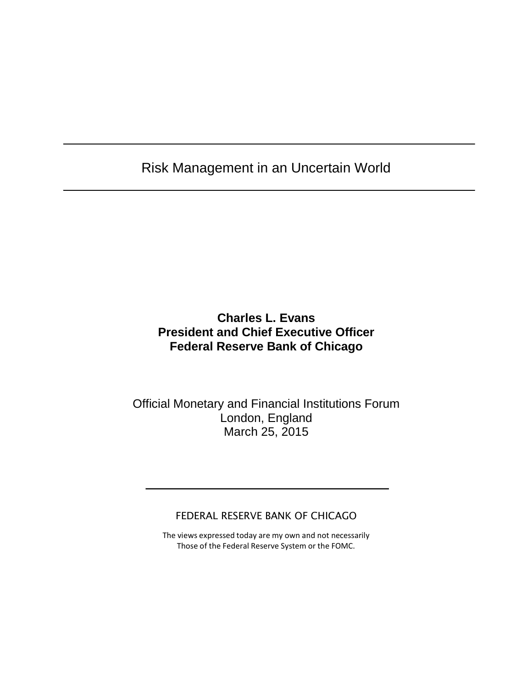## Risk Management in an Uncertain World

## **Charles L. Evans President and Chief Executive Officer Federal Reserve Bank of Chicago**

### Official Monetary and Financial Institutions Forum London, England March 25, 2015

#### FEDERAL RESERVE BANK OF CHICAGO

The views expressed today are my own and not necessarily Those of the Federal Reserve System or the FOMC.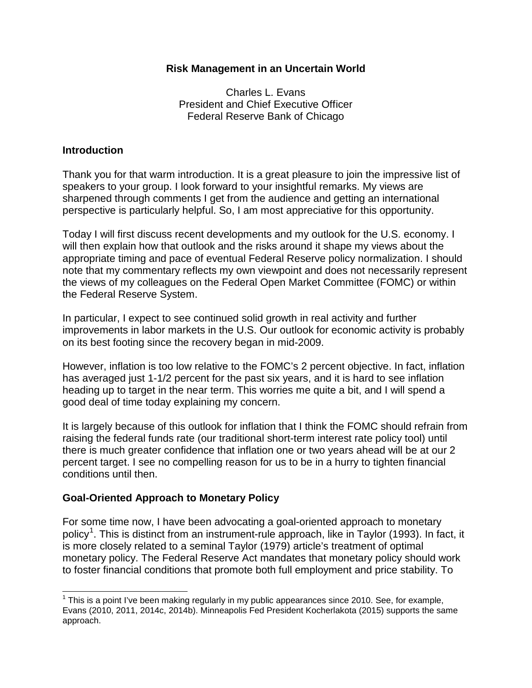#### **Risk Management in an Uncertain World**

Charles L. Evans President and Chief Executive Officer Federal Reserve Bank of Chicago

#### **Introduction**

Thank you for that warm introduction. It is a great pleasure to join the impressive list of speakers to your group. I look forward to your insightful remarks. My views are sharpened through comments I get from the audience and getting an international perspective is particularly helpful. So, I am most appreciative for this opportunity.

Today I will first discuss recent developments and my outlook for the U.S. economy. I will then explain how that outlook and the risks around it shape my views about the appropriate timing and pace of eventual Federal Reserve policy normalization. I should note that my commentary reflects my own viewpoint and does not necessarily represent the views of my colleagues on the Federal Open Market Committee (FOMC) or within the Federal Reserve System.

In particular, I expect to see continued solid growth in real activity and further improvements in labor markets in the U.S. Our outlook for economic activity is probably on its best footing since the recovery began in mid-2009.

However, inflation is too low relative to the FOMC's 2 percent objective. In fact, inflation has averaged just 1-1/2 percent for the past six years, and it is hard to see inflation heading up to target in the near term. This worries me quite a bit, and I will spend a good deal of time today explaining my concern.

It is largely because of this outlook for inflation that I think the FOMC should refrain from raising the federal funds rate (our traditional short-term interest rate policy tool) until there is much greater confidence that inflation one or two years ahead will be at our 2 percent target. I see no compelling reason for us to be in a hurry to tighten financial conditions until then.

#### **Goal-Oriented Approach to Monetary Policy**

For some time now, I have been advocating a goal-oriented approach to monetary policy<sup>[1](#page-1-0)</sup>. This is distinct from an instrument-rule approach, like in Taylor (1993). In fact, it is more closely related to a seminal Taylor (1979) article's treatment of optimal monetary policy. The Federal Reserve Act mandates that monetary policy should work to foster financial conditions that promote both full employment and price stability. To

<span id="page-1-0"></span> $1$  This is a point I've been making regularly in my public appearances since 2010. See, for example, Evans (2010, 2011, 2014c, 2014b). Minneapolis Fed President Kocherlakota (2015) supports the same approach.  $\overline{a}$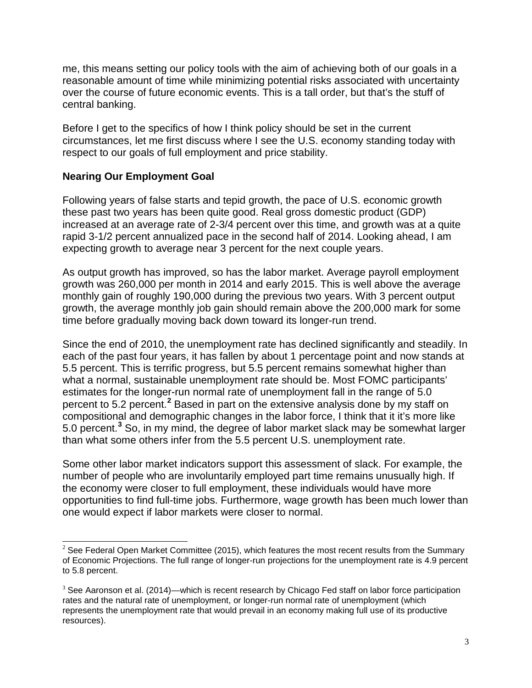me, this means setting our policy tools with the aim of achieving both of our goals in a reasonable amount of time while minimizing potential risks associated with uncertainty over the course of future economic events. This is a tall order, but that's the stuff of central banking.

Before I get to the specifics of how I think policy should be set in the current circumstances, let me first discuss where I see the U.S. economy standing today with respect to our goals of full employment and price stability.

#### **Nearing Our Employment Goal**

Following years of false starts and tepid growth, the pace of U.S. economic growth these past two years has been quite good. Real gross domestic product (GDP) increased at an average rate of 2-3/4 percent over this time, and growth was at a quite rapid 3-1/2 percent annualized pace in the second half of 2014. Looking ahead, I am expecting growth to average near 3 percent for the next couple years.

As output growth has improved, so has the labor market. Average payroll employment growth was 260,000 per month in 2014 and early 2015. This is well above the average monthly gain of roughly 190,000 during the previous two years. With 3 percent output growth, the average monthly job gain should remain above the 200,000 mark for some time before gradually moving back down toward its longer-run trend.

Since the end of 2010, the unemployment rate has declined significantly and steadily. In each of the past four years, it has fallen by about 1 percentage point and now stands at 5.5 percent. This is terrific progress, but 5.5 percent remains somewhat higher than what a normal, sustainable unemployment rate should be. Most FOMC participants' estimates for the longer-run normal rate of unemployment fall in the range of 5.0 percent to 5.2 percent.**[2](#page-2-0)** Based in part on the extensive analysis done by my staff on compositional and demographic changes in the labor force, I think that it it's more like 5.0 percent.**[3](#page-2-1)** So, in my mind, the degree of labor market slack may be somewhat larger than what some others infer from the 5.5 percent U.S. unemployment rate.

Some other labor market indicators support this assessment of slack. For example, the number of people who are involuntarily employed part time remains unusually high. If the economy were closer to full employment, these individuals would have more opportunities to find full-time jobs. Furthermore, wage growth has been much lower than one would expect if labor markets were closer to normal.

<span id="page-2-0"></span> $2$  See Federal Open Market Committee (2015), which features the most recent results from the Summary of Economic Projections. The full range of longer-run projections for the unemployment rate is 4.9 percent to 5.8 percent.  $\overline{a}$ 

<span id="page-2-1"></span> $3$  See Aaronson et al. (2014)—which is recent research by Chicago Fed staff on labor force participation rates and the natural rate of unemployment, or longer-run normal rate of unemployment (which represents the unemployment rate that would prevail in an economy making full use of its productive resources).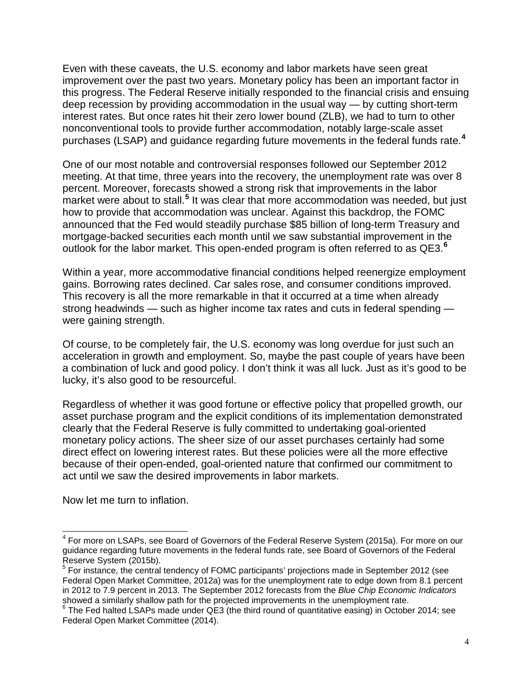Even with these caveats, the U.S. economy and labor markets have seen great improvement over the past two years. Monetary policy has been an important factor in this progress. The Federal Reserve initially responded to the financial crisis and ensuing deep recession by providing accommodation in the usual way — by cutting short-term interest rates. But once rates hit their zero lower bound (ZLB), we had to turn to other nonconventional tools to provide further accommodation, notably large-scale asset purchases (LSAP) and guidance regarding future movements in the federal funds rate.**[4](#page-3-0)**

One of our most notable and controversial responses followed our September 2012 meeting. At that time, three years into the recovery, the unemployment rate was over 8 percent. Moreover, forecasts showed a strong risk that improvements in the labor market were about to stall.**[5](#page-3-1)** It was clear that more accommodation was needed, but just how to provide that accommodation was unclear. Against this backdrop, the FOMC announced that the Fed would steadily purchase \$85 billion of long-term Treasury and mortgage-backed securities each month until we saw substantial improvement in the outlook for the labor market. This open-ended program is often referred to as QE3.**[6](#page-3-2)**

Within a year, more accommodative financial conditions helped reenergize employment gains. Borrowing rates declined. Car sales rose, and consumer conditions improved. This recovery is all the more remarkable in that it occurred at a time when already strong headwinds — such as higher income tax rates and cuts in federal spending were gaining strength.

Of course, to be completely fair, the U.S. economy was long overdue for just such an acceleration in growth and employment. So, maybe the past couple of years have been a combination of luck and good policy. I don't think it was all luck. Just as it's good to be lucky, it's also good to be resourceful.

Regardless of whether it was good fortune or effective policy that propelled growth, our asset purchase program and the explicit conditions of its implementation demonstrated clearly that the Federal Reserve is fully committed to undertaking goal-oriented monetary policy actions. The sheer size of our asset purchases certainly had some direct effect on lowering interest rates. But these policies were all the more effective because of their open-ended, goal-oriented nature that confirmed our commitment to act until we saw the desired improvements in labor markets.

Now let me turn to inflation.

<span id="page-3-0"></span><sup>&</sup>lt;sup>4</sup> For more on LSAPs, see Board of Governors of the Federal Reserve System (2015a). For more on our guidance regarding future movements in the federal funds rate, see Board of Governors of the Federal Reserve System (2015b).  $\overline{a}$ 

<span id="page-3-1"></span> $<sup>5</sup>$  For instance, the central tendency of FOMC participants' projections made in September 2012 (see</sup> Federal Open Market Committee, 2012a) was for the unemployment rate to edge down from 8.1 percent in 2012 to 7.9 percent in 2013. The September 2012 forecasts from the *Blue Chip Economic Indicators*

<span id="page-3-2"></span>showed a similarly shallow path for the projected in the product of quantitative easing) in October 2014; see Federal Open Market Committee (2014).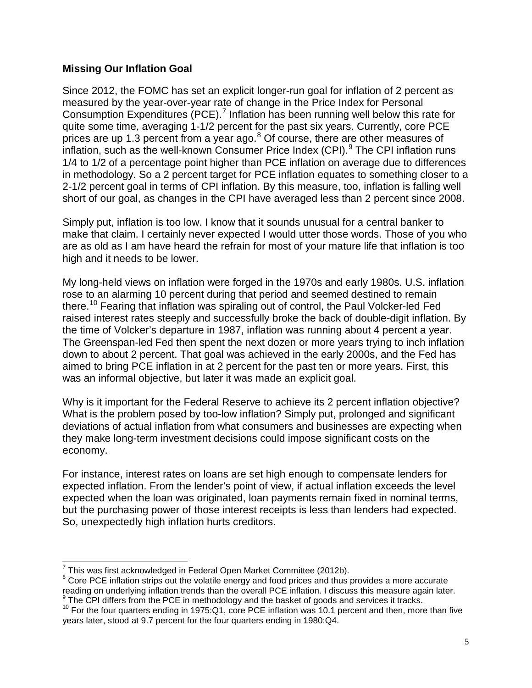#### **Missing Our Inflation Goal**

Since 2012, the FOMC has set an explicit longer-run goal for inflation of 2 percent as measured by the year-over-year rate of change in the Price Index for Personal Consumption Expenditures (PCE).<sup>[7](#page-4-0)</sup> Inflation has been running well below this rate for quite some time, averaging 1-1/2 percent for the past six years. Currently, core PCE prices are up 1.3 percent from a year ago.<sup>[8](#page-4-1)</sup> Of course, there are other measures of inflation, such as the well-known Consumer Price Index  $(CPI)$ . The CPI inflation runs 1/4 to 1/2 of a percentage point higher than PCE inflation on average due to differences in methodology. So a 2 percent target for PCE inflation equates to something closer to a 2-1/2 percent goal in terms of CPI inflation. By this measure, too, inflation is falling well short of our goal, as changes in the CPI have averaged less than 2 percent since 2008.

Simply put, inflation is too low. I know that it sounds unusual for a central banker to make that claim. I certainly never expected I would utter those words. Those of you who are as old as I am have heard the refrain for most of your mature life that inflation is too high and it needs to be lower.

My long-held views on inflation were forged in the 1970s and early 1980s. U.S. inflation rose to an alarming 10 percent during that period and seemed destined to remain there.<sup>[10](#page-4-3)</sup> Fearing that inflation was spiraling out of control, the Paul Volcker-led Fed raised interest rates steeply and successfully broke the back of double-digit inflation. By the time of Volcker's departure in 1987, inflation was running about 4 percent a year. The Greenspan-led Fed then spent the next dozen or more years trying to inch inflation down to about 2 percent. That goal was achieved in the early 2000s, and the Fed has aimed to bring PCE inflation in at 2 percent for the past ten or more years. First, this was an informal objective, but later it was made an explicit goal.

Why is it important for the Federal Reserve to achieve its 2 percent inflation objective? What is the problem posed by too-low inflation? Simply put, prolonged and significant deviations of actual inflation from what consumers and businesses are expecting when they make long-term investment decisions could impose significant costs on the economy.

For instance, interest rates on loans are set high enough to compensate lenders for expected inflation. From the lender's point of view, if actual inflation exceeds the level expected when the loan was originated, loan payments remain fixed in nominal terms, but the purchasing power of those interest receipts is less than lenders had expected. So, unexpectedly high inflation hurts creditors.

<span id="page-4-0"></span> $\frac{7}{1}$ This was first acknowledged in Federal Open Market Committee (2012b).  $\overline{a}$ 

<span id="page-4-1"></span><sup>&</sup>lt;sup>8</sup> Core PCE inflation strips out the volatile energy and food prices and thus provides a more accurate reading on underlying inflation trends than the overall PCE inflation. I discuss this measure again later.<br><sup>9</sup> The CPI differs from the PCE in methodology and the basket of goods and services it tracks.

<span id="page-4-3"></span><span id="page-4-2"></span> $10$  For the four quarters ending in 1975:Q1, core PCE inflation was 10.1 percent and then, more than five years later, stood at 9.7 percent for the four quarters ending in 1980:Q4.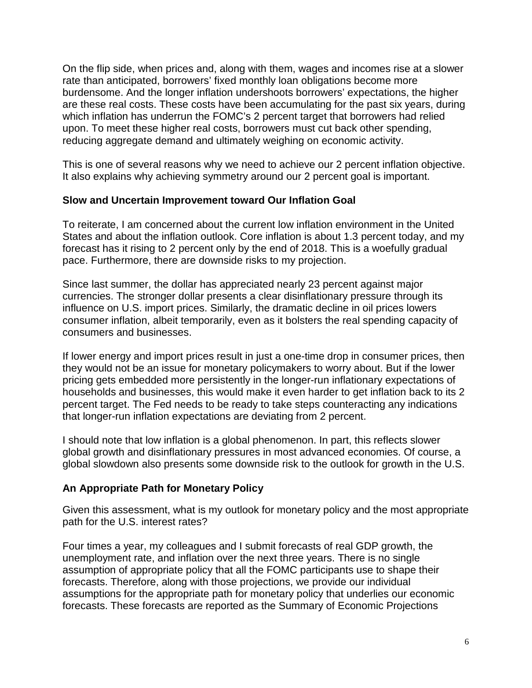On the flip side, when prices and, along with them, wages and incomes rise at a slower rate than anticipated, borrowers' fixed monthly loan obligations become more burdensome. And the longer inflation undershoots borrowers' expectations, the higher are these real costs. These costs have been accumulating for the past six years, during which inflation has underrun the FOMC's 2 percent target that borrowers had relied upon. To meet these higher real costs, borrowers must cut back other spending, reducing aggregate demand and ultimately weighing on economic activity.

This is one of several reasons why we need to achieve our 2 percent inflation objective. It also explains why achieving symmetry around our 2 percent goal is important.

#### **Slow and Uncertain Improvement toward Our Inflation Goal**

To reiterate, I am concerned about the current low inflation environment in the United States and about the inflation outlook. Core inflation is about 1.3 percent today, and my forecast has it rising to 2 percent only by the end of 2018. This is a woefully gradual pace. Furthermore, there are downside risks to my projection.

Since last summer, the dollar has appreciated nearly 23 percent against major currencies. The stronger dollar presents a clear disinflationary pressure through its influence on U.S. import prices. Similarly, the dramatic decline in oil prices lowers consumer inflation, albeit temporarily, even as it bolsters the real spending capacity of consumers and businesses.

If lower energy and import prices result in just a one-time drop in consumer prices, then they would not be an issue for monetary policymakers to worry about. But if the lower pricing gets embedded more persistently in the longer-run inflationary expectations of households and businesses, this would make it even harder to get inflation back to its 2 percent target. The Fed needs to be ready to take steps counteracting any indications that longer-run inflation expectations are deviating from 2 percent.

I should note that low inflation is a global phenomenon. In part, this reflects slower global growth and disinflationary pressures in most advanced economies. Of course, a global slowdown also presents some downside risk to the outlook for growth in the U.S.

#### **An Appropriate Path for Monetary Policy**

Given this assessment, what is my outlook for monetary policy and the most appropriate path for the U.S. interest rates?

Four times a year, my colleagues and I submit forecasts of real GDP growth, the unemployment rate, and inflation over the next three years. There is no single assumption of appropriate policy that all the FOMC participants use to shape their forecasts. Therefore, along with those projections, we provide our individual assumptions for the appropriate path for monetary policy that underlies our economic forecasts. These forecasts are reported as the Summary of Economic Projections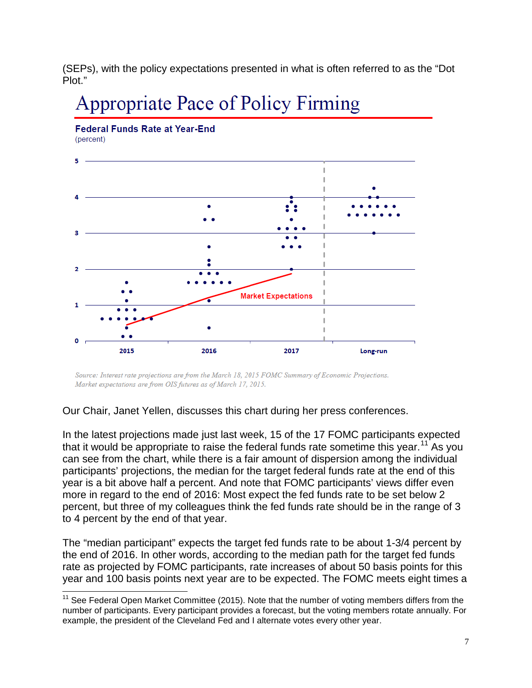(SEPs), with the policy expectations presented in what is often referred to as the "Dot Plot."

# Appropriate Pace of Policy Firming



Source: Interest rate projections are from the March 18, 2015 FOMC Summary of Economic Projections. Market expectations are from OIS futures as of March 17, 2015.

Our Chair, Janet Yellen, discusses this chart during her press conferences.

In the latest projections made just last week, 15 of the 17 FOMC participants expected that it would be appropriate to raise the federal funds rate sometime this year.<sup>[11](#page-6-0)</sup> As you can see from the chart, while there is a fair amount of dispersion among the individual participants' projections, the median for the target federal funds rate at the end of this year is a bit above half a percent. And note that FOMC participants' views differ even more in regard to the end of 2016: Most expect the fed funds rate to be set below 2 percent, but three of my colleagues think the fed funds rate should be in the range of 3 to 4 percent by the end of that year.

The "median participant" expects the target fed funds rate to be about 1-3/4 percent by the end of 2016. In other words, according to the median path for the target fed funds rate as projected by FOMC participants, rate increases of about 50 basis points for this year and 100 basis points next year are to be expected. The FOMC meets eight times a

<span id="page-6-0"></span> $11$  See Federal Open Market Committee (2015). Note that the number of voting members differs from the number of participants. Every participant provides a forecast, but the voting members rotate annually. For example, the president of the Cleveland Fed and I alternate votes every other year.  $\overline{a}$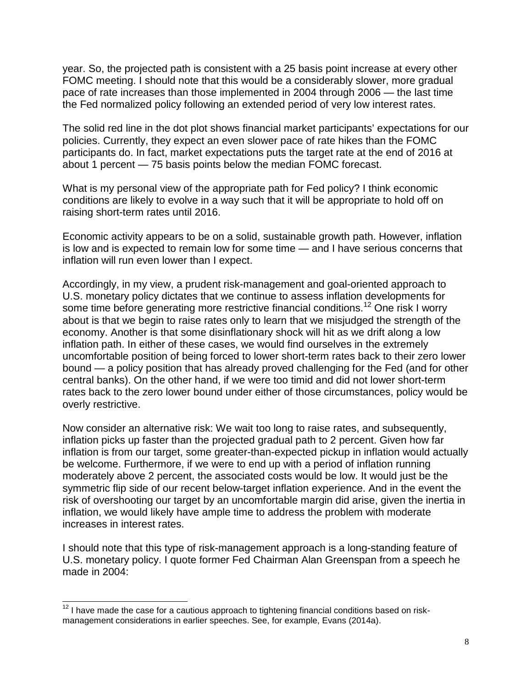year. So, the projected path is consistent with a 25 basis point increase at every other FOMC meeting. I should note that this would be a considerably slower, more gradual pace of rate increases than those implemented in 2004 through 2006 — the last time the Fed normalized policy following an extended period of very low interest rates.

The solid red line in the dot plot shows financial market participants' expectations for our policies. Currently, they expect an even slower pace of rate hikes than the FOMC participants do. In fact, market expectations puts the target rate at the end of 2016 at about 1 percent — 75 basis points below the median FOMC forecast.

What is my personal view of the appropriate path for Fed policy? I think economic conditions are likely to evolve in a way such that it will be appropriate to hold off on raising short-term rates until 2016.

Economic activity appears to be on a solid, sustainable growth path. However, inflation is low and is expected to remain low for some time — and I have serious concerns that inflation will run even lower than I expect.

Accordingly, in my view, a prudent risk-management and goal-oriented approach to U.S. monetary policy dictates that we continue to assess inflation developments for some time before generating more restrictive financial conditions.<sup>[12](#page-7-0)</sup> One risk I worry about is that we begin to raise rates only to learn that we misjudged the strength of the economy. Another is that some disinflationary shock will hit as we drift along a low inflation path. In either of these cases, we would find ourselves in the extremely uncomfortable position of being forced to lower short-term rates back to their zero lower bound — a policy position that has already proved challenging for the Fed (and for other central banks). On the other hand, if we were too timid and did not lower short-term rates back to the zero lower bound under either of those circumstances, policy would be overly restrictive.

Now consider an alternative risk: We wait too long to raise rates, and subsequently, inflation picks up faster than the projected gradual path to 2 percent. Given how far inflation is from our target, some greater-than-expected pickup in inflation would actually be welcome. Furthermore, if we were to end up with a period of inflation running moderately above 2 percent, the associated costs would be low. It would just be the symmetric flip side of our recent below-target inflation experience. And in the event the risk of overshooting our target by an uncomfortable margin did arise, given the inertia in inflation, we would likely have ample time to address the problem with moderate increases in interest rates.

I should note that this type of risk-management approach is a long-standing feature of U.S. monetary policy. I quote former Fed Chairman Alan Greenspan from a speech he made in 2004:

<span id="page-7-0"></span> $12$  I have made the case for a cautious approach to tightening financial conditions based on riskmanagement considerations in earlier speeches. See, for example, Evans (2014a).  $\overline{\phantom{a}}$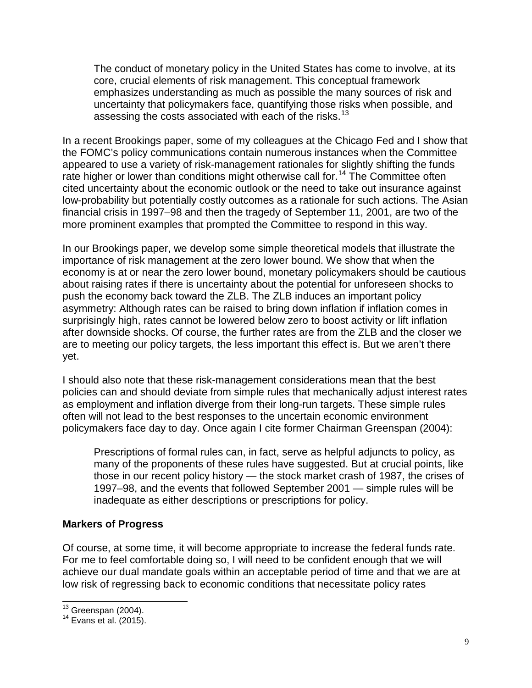The conduct of monetary policy in the United States has come to involve, at its core, crucial elements of risk management. This conceptual framework emphasizes understanding as much as possible the many sources of risk and uncertainty that policymakers face, quantifying those risks when possible, and assessing the costs associated with each of the risks.<sup>[13](#page-8-0)</sup>

In a recent Brookings paper, some of my colleagues at the Chicago Fed and I show that the FOMC's policy communications contain numerous instances when the Committee appeared to use a variety of risk-management rationales for slightly shifting the funds rate higher or lower than conditions might otherwise call for.<sup>[14](#page-8-1)</sup> The Committee often cited uncertainty about the economic outlook or the need to take out insurance against low-probability but potentially costly outcomes as a rationale for such actions. The Asian financial crisis in 1997–98 and then the tragedy of September 11, 2001, are two of the more prominent examples that prompted the Committee to respond in this way.

In our Brookings paper, we develop some simple theoretical models that illustrate the importance of risk management at the zero lower bound. We show that when the economy is at or near the zero lower bound, monetary policymakers should be cautious about raising rates if there is uncertainty about the potential for unforeseen shocks to push the economy back toward the ZLB. The ZLB induces an important policy asymmetry: Although rates can be raised to bring down inflation if inflation comes in surprisingly high, rates cannot be lowered below zero to boost activity or lift inflation after downside shocks. Of course, the further rates are from the ZLB and the closer we are to meeting our policy targets, the less important this effect is. But we aren't there yet.

I should also note that these risk-management considerations mean that the best policies can and should deviate from simple rules that mechanically adjust interest rates as employment and inflation diverge from their long-run targets. These simple rules often will not lead to the best responses to the uncertain economic environment policymakers face day to day. Once again I cite former Chairman Greenspan (2004):

Prescriptions of formal rules can, in fact, serve as helpful adjuncts to policy, as many of the proponents of these rules have suggested. But at crucial points, like those in our recent policy history — the stock market crash of 1987, the crises of 1997–98, and the events that followed September 2001 — simple rules will be inadequate as either descriptions or prescriptions for policy.

#### **Markers of Progress**

Of course, at some time, it will become appropriate to increase the federal funds rate. For me to feel comfortable doing so, I will need to be confident enough that we will achieve our dual mandate goals within an acceptable period of time and that we are at low risk of regressing back to economic conditions that necessitate policy rates

<span id="page-8-0"></span> $13$  Greenspan (2004).

<span id="page-8-1"></span> $14$  Evans et al. (2015).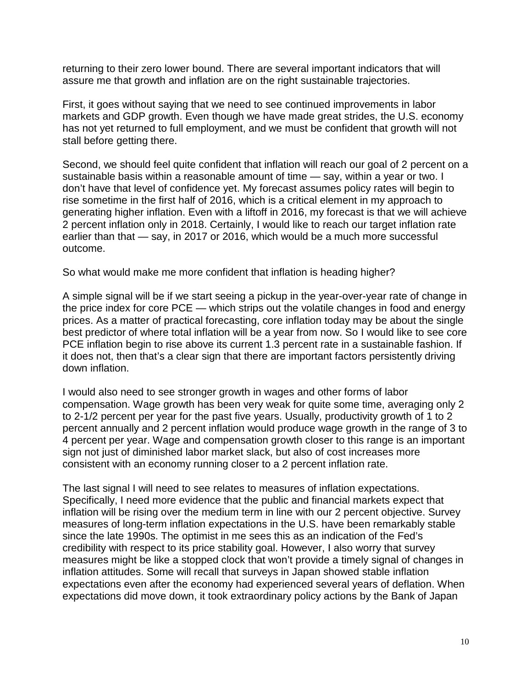returning to their zero lower bound. There are several important indicators that will assure me that growth and inflation are on the right sustainable trajectories.

First, it goes without saying that we need to see continued improvements in labor markets and GDP growth. Even though we have made great strides, the U.S. economy has not yet returned to full employment, and we must be confident that growth will not stall before getting there.

Second, we should feel quite confident that inflation will reach our goal of 2 percent on a sustainable basis within a reasonable amount of time — say, within a year or two. I don't have that level of confidence yet. My forecast assumes policy rates will begin to rise sometime in the first half of 2016, which is a critical element in my approach to generating higher inflation. Even with a liftoff in 2016, my forecast is that we will achieve 2 percent inflation only in 2018. Certainly, I would like to reach our target inflation rate earlier than that — say, in 2017 or 2016, which would be a much more successful outcome.

So what would make me more confident that inflation is heading higher?

A simple signal will be if we start seeing a pickup in the year-over-year rate of change in the price index for core PCE — which strips out the volatile changes in food and energy prices. As a matter of practical forecasting, core inflation today may be about the single best predictor of where total inflation will be a year from now. So I would like to see core PCE inflation begin to rise above its current 1.3 percent rate in a sustainable fashion. If it does not, then that's a clear sign that there are important factors persistently driving down inflation.

I would also need to see stronger growth in wages and other forms of labor compensation. Wage growth has been very weak for quite some time, averaging only 2 to 2-1/2 percent per year for the past five years. Usually, productivity growth of 1 to 2 percent annually and 2 percent inflation would produce wage growth in the range of 3 to 4 percent per year. Wage and compensation growth closer to this range is an important sign not just of diminished labor market slack, but also of cost increases more consistent with an economy running closer to a 2 percent inflation rate.

The last signal I will need to see relates to measures of inflation expectations. Specifically, I need more evidence that the public and financial markets expect that inflation will be rising over the medium term in line with our 2 percent objective. Survey measures of long-term inflation expectations in the U.S. have been remarkably stable since the late 1990s. The optimist in me sees this as an indication of the Fed's credibility with respect to its price stability goal. However, I also worry that survey measures might be like a stopped clock that won't provide a timely signal of changes in inflation attitudes. Some will recall that surveys in Japan showed stable inflation expectations even after the economy had experienced several years of deflation. When expectations did move down, it took extraordinary policy actions by the Bank of Japan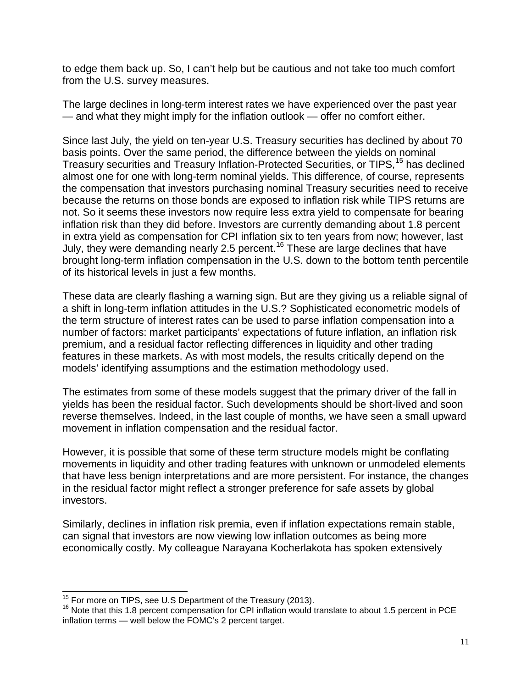to edge them back up. So, I can't help but be cautious and not take too much comfort from the U.S. survey measures.

The large declines in long-term interest rates we have experienced over the past year — and what they might imply for the inflation outlook — offer no comfort either.

Since last July, the yield on ten-year U.S. Treasury securities has declined by about 70 basis points. Over the same period, the difference between the yields on nominal Treasury securities and Treasury Inflation-Protected Securities, or TIPS,<sup>[15](#page-10-0)</sup> has declined almost one for one with long-term nominal yields. This difference, of course, represents the compensation that investors purchasing nominal Treasury securities need to receive because the returns on those bonds are exposed to inflation risk while TIPS returns are not. So it seems these investors now require less extra yield to compensate for bearing inflation risk than they did before. Investors are currently demanding about 1.8 percent in extra yield as compensation for CPI inflation six to ten years from now; however, last July, they were demanding nearly 2.5 percent.[16](#page-10-1) These are large declines that have brought long-term inflation compensation in the U.S. down to the bottom tenth percentile of its historical levels in just a few months.

These data are clearly flashing a warning sign. But are they giving us a reliable signal of a shift in long-term inflation attitudes in the U.S.? Sophisticated econometric models of the term structure of interest rates can be used to parse inflation compensation into a number of factors: market participants' expectations of future inflation, an inflation risk premium, and a residual factor reflecting differences in liquidity and other trading features in these markets. As with most models, the results critically depend on the models' identifying assumptions and the estimation methodology used.

The estimates from some of these models suggest that the primary driver of the fall in yields has been the residual factor. Such developments should be short-lived and soon reverse themselves. Indeed, in the last couple of months, we have seen a small upward movement in inflation compensation and the residual factor.

However, it is possible that some of these term structure models might be conflating movements in liquidity and other trading features with unknown or unmodeled elements that have less benign interpretations and are more persistent. For instance, the changes in the residual factor might reflect a stronger preference for safe assets by global investors.

Similarly, declines in inflation risk premia, even if inflation expectations remain stable, can signal that investors are now viewing low inflation outcomes as being more economically costly. My colleague Narayana Kocherlakota has spoken extensively

<span id="page-10-0"></span><sup>&</sup>lt;sup>15</sup> For more on TIPS, see U.S Department of the Treasury (2013).

<span id="page-10-1"></span> $16$  Note that this 1.8 percent compensation for CPI inflation would translate to about 1.5 percent in PCE inflation terms — well below the FOMC's 2 percent target.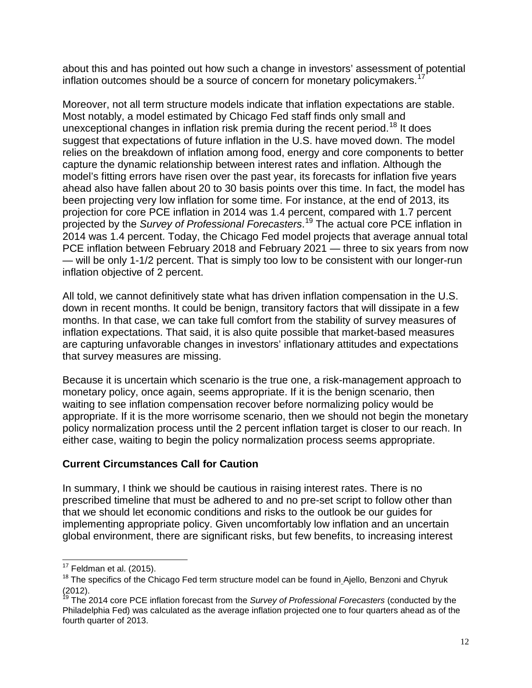about this and has pointed out how such a change in investors' assessment of potential inflation outcomes should be a source of concern for monetary policymakers.<sup>[17](#page-11-0)</sup>

Moreover, not all term structure models indicate that inflation expectations are stable. Most notably, a model estimated by Chicago Fed staff finds only small and unexceptional changes in inflation risk premia during the recent period.<sup>[18](#page-11-1)</sup> It does suggest that expectations of future inflation in the U.S. have moved down. The model relies on the breakdown of inflation among food, energy and core components to better capture the dynamic relationship between interest rates and inflation. Although the model's fitting errors have risen over the past year, its forecasts for inflation five years ahead also have fallen about 20 to 30 basis points over this time. In fact, the model has been projecting very low inflation for some time. For instance, at the end of 2013, its projection for core PCE inflation in 2014 was 1.4 percent, compared with 1.7 percent projected by the *Survey of Professional Forecasters*. [19](#page-11-2) The actual core PCE inflation in 2014 was 1.4 percent. Today, the Chicago Fed model projects that average annual total PCE inflation between February 2018 and February 2021 — three to six years from now — will be only 1-1/2 percent. That is simply too low to be consistent with our longer-run inflation objective of 2 percent.

All told, we cannot definitively state what has driven inflation compensation in the U.S. down in recent months. It could be benign, transitory factors that will dissipate in a few months. In that case, we can take full comfort from the stability of survey measures of inflation expectations. That said, it is also quite possible that market-based measures are capturing unfavorable changes in investors' inflationary attitudes and expectations that survey measures are missing.

Because it is uncertain which scenario is the true one, a risk-management approach to monetary policy, once again, seems appropriate. If it is the benign scenario, then waiting to see inflation compensation recover before normalizing policy would be appropriate. If it is the more worrisome scenario, then we should not begin the monetary policy normalization process until the 2 percent inflation target is closer to our reach. In either case, waiting to begin the policy normalization process seems appropriate.

#### **Current Circumstances Call for Caution**

In summary, I think we should be cautious in raising interest rates. There is no prescribed timeline that must be adhered to and no pre-set script to follow other than that we should let economic conditions and risks to the outlook be our guides for implementing appropriate policy. Given uncomfortably low inflation and an uncertain global environment, there are significant risks, but few benefits, to increasing interest

 $17$  Feldman et al. (2015).  $\overline{\phantom{a}}$ 

<span id="page-11-1"></span><span id="page-11-0"></span> $18$  The specifics of the Chicago Fed term structure model can be found in Ajello, Benzoni and Chyruk (2012).

<span id="page-11-2"></span><sup>19</sup> The 2014 core PCE inflation forecast from the *Survey of Professional Forecasters* (conducted by the Philadelphia Fed) was calculated as the average inflation projected one to four quarters ahead as of the fourth quarter of 2013.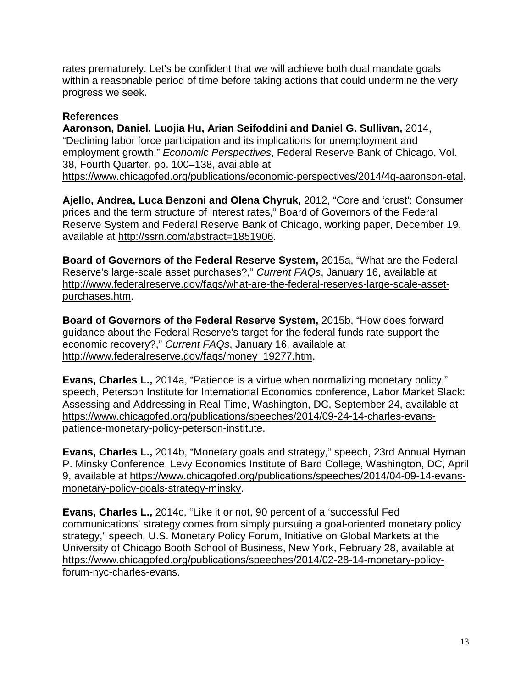rates prematurely. Let's be confident that we will achieve both dual mandate goals within a reasonable period of time before taking actions that could undermine the very progress we seek.

#### **References**

**Aaronson, Daniel, Luojia Hu, Arian Seifoddini and Daniel G. Sullivan,** 2014, "Declining labor force participation and its implications for unemployment and employment growth," *Economic Perspectives*, Federal Reserve Bank of Chicago, Vol. 38, Fourth Quarter, pp. 100–138, available at [https://www.chicagofed.org/publications/economic-perspectives/2014/4q-aaronson-etal.](https://www.chicagofed.org/publications/economic-perspectives/2014/4q-aaronson-etal)

**Ajello, Andrea, Luca Benzoni and Olena Chyruk,** 2012, "Core and 'crust': Consumer prices and the term structure of interest rates," Board of Governors of the Federal Reserve System and Federal Reserve Bank of Chicago, working paper, December 19, available at [http://ssrn.com/abstract=1851906.](http://ssrn.com/abstract=1851906)

**Board of Governors of the Federal Reserve System,** 2015a, "What are the Federal Reserve's large-scale asset purchases?," *Current FAQs*, January 16, available at [http://www.federalreserve.gov/faqs/what-are-the-federal-reserves-large-scale-asset](http://www.federalreserve.gov/faqs/what-are-the-federal-reserves-large-scale-asset-purchases.htm)[purchases.htm.](http://www.federalreserve.gov/faqs/what-are-the-federal-reserves-large-scale-asset-purchases.htm)

**Board of Governors of the Federal Reserve System,** 2015b, "How does forward guidance about the Federal Reserve's target for the federal funds rate support the economic recovery?," *Current FAQs*, January 16, available at [http://www.federalreserve.gov/faqs/money\\_19277.htm.](http://www.federalreserve.gov/faqs/money_19277.htm)

**Evans, Charles L.,** 2014a, "Patience is a virtue when normalizing monetary policy," speech, Peterson Institute for International Economics conference, Labor Market Slack: Assessing and Addressing in Real Time, Washington, DC, September 24, available at [https://www.chicagofed.org/publications/speeches/2014/09-24-14-charles-evans](https://www.chicagofed.org/publications/speeches/2014/09-24-14-charles-evans-patience-monetary-policy-peterson-institute)[patience-monetary-policy-peterson-institute.](https://www.chicagofed.org/publications/speeches/2014/09-24-14-charles-evans-patience-monetary-policy-peterson-institute)

**Evans, Charles L.,** 2014b, "Monetary goals and strategy," speech, 23rd Annual Hyman P. Minsky Conference, Levy Economics Institute of Bard College, Washington, DC, April 9, available at [https://www.chicagofed.org/publications/speeches/2014/04-09-14-evans](https://www.chicagofed.org/publications/speeches/2014/04-09-14-evans-monetary-policy-goals-strategy-minsky)[monetary-policy-goals-strategy-minsky.](https://www.chicagofed.org/publications/speeches/2014/04-09-14-evans-monetary-policy-goals-strategy-minsky)

**Evans, Charles L.,** 2014c, "Like it or not, 90 percent of a 'successful Fed communications' strategy comes from simply pursuing a goal-oriented monetary policy strategy," speech, U.S. Monetary Policy Forum, Initiative on Global Markets at the University of Chicago Booth School of Business, New York, February 28, available at [https://www.chicagofed.org/publications/speeches/2014/02-28-14-monetary-policy](https://www.chicagofed.org/publications/speeches/2014/02-28-14-monetary-policy-forum-nyc-charles-evans)[forum-nyc-charles-evans.](https://www.chicagofed.org/publications/speeches/2014/02-28-14-monetary-policy-forum-nyc-charles-evans)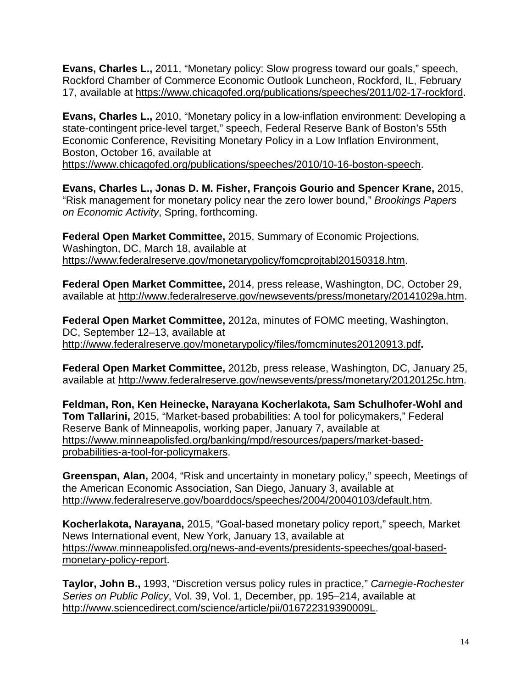**Evans, Charles L.,** 2011, "Monetary policy: Slow progress toward our goals," speech, Rockford Chamber of Commerce Economic Outlook Luncheon, Rockford, IL, February 17, available at [https://www.chicagofed.org/publications/speeches/2011/02-17-rockford.](https://www.chicagofed.org/publications/speeches/2011/02-17-rockford)

**Evans, Charles L.,** 2010, "Monetary policy in a low-inflation environment: Developing a state-contingent price-level target," speech, Federal Reserve Bank of Boston's 55th Economic Conference, Revisiting Monetary Policy in a Low Inflation Environment, Boston, October 16, available at [https://www.chicagofed.org/publications/speeches/2010/10-16-boston-speech.](https://www.chicagofed.org/publications/speeches/2010/10-16-boston-speech)

**Evans, Charles L., Jonas D. M. Fisher, François Gourio and Spencer Krane,** 2015, "Risk management for monetary policy near the zero lower bound," *Brookings Papers on Economic Activity*, Spring, forthcoming.

**Federal Open Market Committee,** 2015, Summary of Economic Projections, Washington, DC, March 18, available at [https://www.federalreserve.gov/monetarypolicy/fomcprojtabl20150318.htm.](https://www.federalreserve.gov/monetarypolicy/fomcprojtabl20150318.htm)

**Federal Open Market Committee,** 2014, press release, Washington, DC, October 29, available at [http://www.federalreserve.gov/newsevents/press/monetary/20141029a.htm.](http://www.federalreserve.gov/newsevents/press/monetary/20141029a.htm)

**Federal Open Market Committee,** 2012a, minutes of FOMC meeting, Washington, DC, September 12–13, available at <http://www.federalreserve.gov/monetarypolicy/files/fomcminutes20120913.pdf>**.** 

**Federal Open Market Committee,** 2012b, press release, Washington, DC, January 25, available at [http://www.federalreserve.gov/newsevents/press/monetary/20120125c.htm.](http://www.federalreserve.gov/newsevents/press/monetary/20120125c.htm)

**Feldman, Ron, Ken Heinecke, Narayana Kocherlakota, Sam Schulhofer-Wohl and Tom Tallarini,** 2015, "Market-based probabilities: A tool for policymakers," Federal Reserve Bank of Minneapolis, working paper, January 7, available at [https://www.minneapolisfed.org/banking/mpd/resources/papers/market-based](https://www.minneapolisfed.org/banking/mpd/resources/papers/market-based-probabilities-a-tool-for-policymakers)[probabilities-a-tool-for-policymakers.](https://www.minneapolisfed.org/banking/mpd/resources/papers/market-based-probabilities-a-tool-for-policymakers)

**Greenspan, Alan,** 2004, "Risk and uncertainty in monetary policy," speech, Meetings of the American Economic Association, San Diego, January 3, available at [http://www.federalreserve.gov/boarddocs/speeches/2004/20040103/default.htm.](http://www.federalreserve.gov/boarddocs/speeches/2004/20040103/default.htm)

**Kocherlakota, Narayana,** 2015, "Goal-based monetary policy report," speech, Market News International event, New York, January 13, available at [https://www.minneapolisfed.org/news-and-events/presidents-speeches/goal-based](https://www.minneapolisfed.org/news-and-events/presidents-speeches/goal-based-monetary-policy-report)[monetary-policy-report.](https://www.minneapolisfed.org/news-and-events/presidents-speeches/goal-based-monetary-policy-report)

**Taylor, John B.,** 1993, "Discretion versus policy rules in practice," *Carnegie-Rochester Series on Public Policy*, Vol. 39, Vol. 1, December, pp. 195–214, available at [http://www.sciencedirect.com/science/article/pii/016722319390009L.](http://www.sciencedirect.com/science/article/pii/016722319390009L)